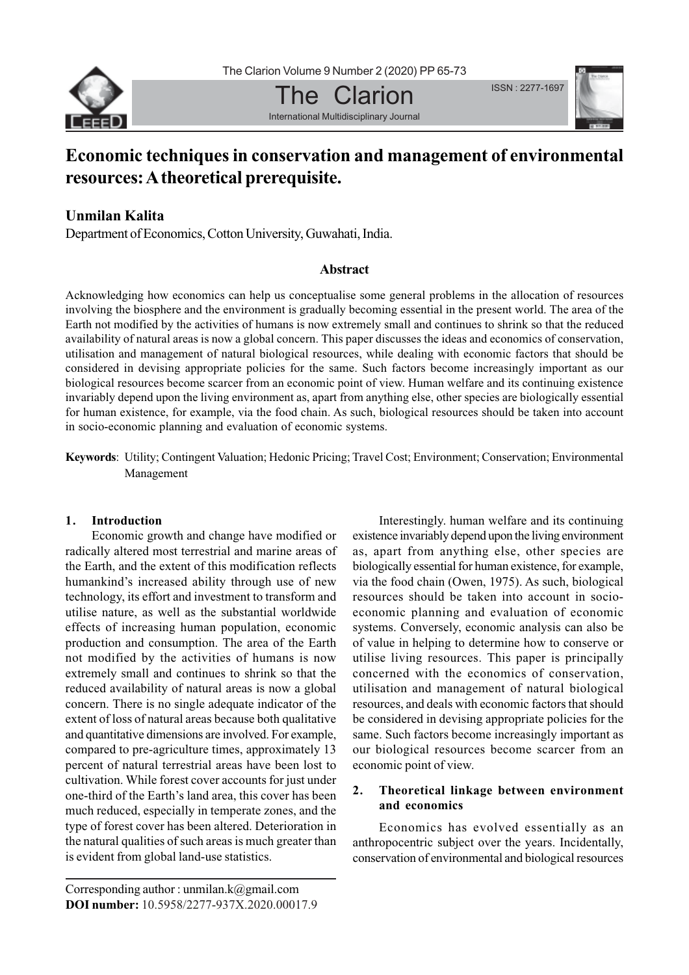

The International Multidisciplinary Journal ISSN : 2277-1697

Interestingly. human welfare and its continuing existence invariably depend upon the living environment as, apart from anything else, other species are biologically essential for human existence, for example, via the food chain (Owen, 1975). As such, biological resources should be taken into account in socioeconomic planning and evaluation of economic systems. Conversely, economic analysis can also be of value in helping to determine how to conserve or



# **Economic techniques in conservation and management of environmental resources: A theoretical prerequisite.**

## **Unmilan Kalita**

Department of Economics, Cotton University, Guwahati, India.

## **Abstract**

Acknowledging how economics can help us conceptualise some general problems in the allocation of resources involving the biosphere and the environment is gradually becoming essential in the present world. The area of the Earth not modified by the activities of humans is now extremely small and continues to shrink so that the reduced availability of natural areas is now a global concern. This paper discusses the ideas and economics of conservation, utilisation and management of natural biological resources, while dealing with economic factors that should be considered in devising appropriate policies for the same. Such factors become increasingly important as our biological resources become scarcer from an economic point of view. Human welfare and its continuing existence invariably depend upon the living environment as, apart from anything else, other species are biologically essential for human existence, for example, via the food chain. As such, biological resources should be taken into account in socio-economic planning and evaluation of economic systems.

**Keywords**: Utility; Contingent Valuation; Hedonic Pricing; Travel Cost; Environment; Conservation; Environmental Management

### **1. Introduction**

Economic growth and change have modified or radically altered most terrestrial and marine areas of the Earth, and the extent of this modification reflects humankind's increased ability through use of new technology, its effort and investment to transform and utilise nature, as well as the substantial worldwide effects of increasing human population, economic production and consumption. The area of the Earth not modified by the activities of humans is now extremely small and continues to shrink so that the reduced availability of natural areas is now a global concern. There is no single adequate indicator of the extent of loss of natural areas because both qualitative and quantitative dimensions are involved. For example, compared to pre-agriculture times, approximately 13 percent of natural terrestrial areas have been lost to cultivation. While forest cover accounts for just under one-third of the Earth's land area, this cover has been much reduced, especially in temperate zones, and the type of forest cover has been altered. Deterioration in the natural qualities of such areas is much greater than is evident from global land-use statistics.

utilise living resources. This paper is principally concerned with the economics of conservation, utilisation and management of natural biological resources, and deals with economic factors that should be considered in devising appropriate policies for the same. Such factors become increasingly important as our biological resources become scarcer from an economic point of view. **2. Theoretical linkage between environment and economics** Economics has evolved essentially as an anthropocentric subject over the years. Incidentally, conservation of environmental and biological resources

Corresponding author : unmilan.k@gmail.com **DOI number:** 10.5958/2277-937X.2020.00017.9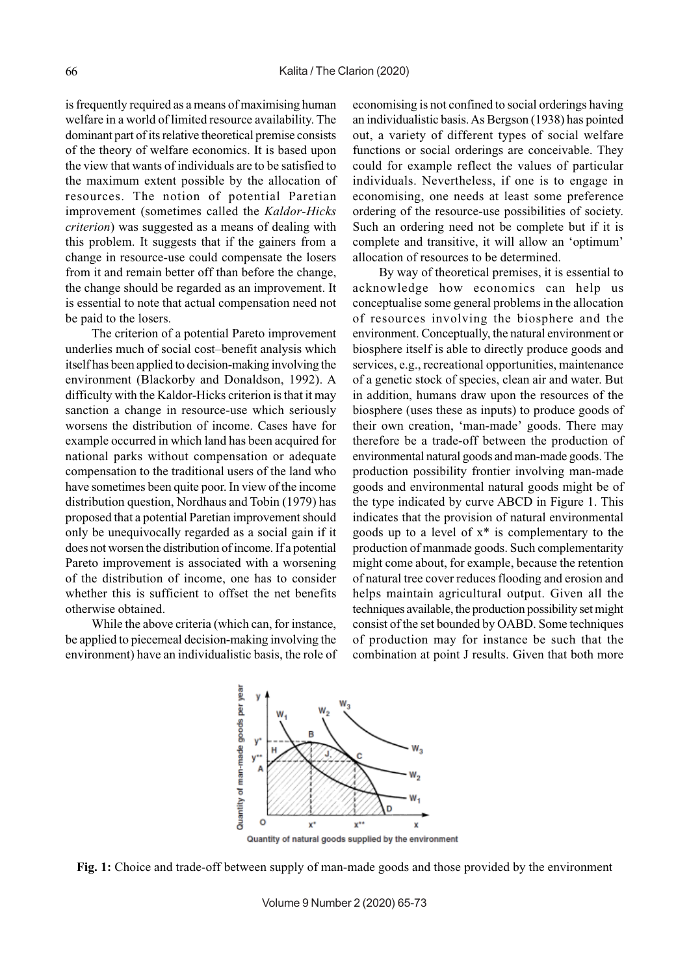is frequently required as a means of maximising human welfare in a world of limited resource availability. The dominant part of its relative theoretical premise consists of the theory of welfare economics. It is based upon the view that wants of individuals are to be satisfied to the maximum extent possible by the allocation of resources. The notion of potential Paretian improvement (sometimes called the *Kaldor-Hicks criterion*) was suggested as a means of dealing with this problem. It suggests that if the gainers from a change in resource-use could compensate the losers from it and remain better off than before the change, the change should be regarded as an improvement. It is essential to note that actual compensation need not be paid to the losers.

The criterion of a potential Pareto improvement underlies much of social cost–benefit analysis which itself has been applied to decision-making involving the environment (Blackorby and Donaldson, 1992). A difficulty with the Kaldor-Hicks criterion is that it may sanction a change in resource-use which seriously worsens the distribution of income. Cases have for example occurred in which land has been acquired for national parks without compensation or adequate compensation to the traditional users of the land who have sometimes been quite poor. In view of the income distribution question, Nordhaus and Tobin (1979) has proposed that a potential Paretian improvement should only be unequivocally regarded as a social gain if it does not worsen the distribution of income. If a potential Pareto improvement is associated with a worsening of the distribution of income, one has to consider whether this is sufficient to offset the net benefits otherwise obtained.

While the above criteria (which can, for instance, be applied to piecemeal decision-making involving the environment) have an individualistic basis, the role of economising is not confined to social orderings having an individualistic basis. As Bergson (1938) has pointed out, a variety of different types of social welfare functions or social orderings are conceivable. They could for example reflect the values of particular individuals. Nevertheless, if one is to engage in economising, one needs at least some preference ordering of the resource-use possibilities of society. Such an ordering need not be complete but if it is complete and transitive, it will allow an 'optimum' allocation of resources to be determined.

By way of theoretical premises, it is essential to acknowledge how economics can help us conceptualise some general problems in the allocation of resources involving the biosphere and the environment. Conceptually, the natural environment or biosphere itself is able to directly produce goods and services, e.g., recreational opportunities, maintenance of a genetic stock of species, clean air and water. But in addition, humans draw upon the resources of the biosphere (uses these as inputs) to produce goods of their own creation, 'man-made' goods. There may therefore be a trade-off between the production of environmental natural goods and man-made goods. The production possibility frontier involving man-made goods and environmental natural goods might be of the type indicated by curve ABCD in Figure 1. This indicates that the provision of natural environmental goods up to a level of x\* is complementary to the production of manmade goods. Such complementarity might come about, for example, because the retention of natural tree cover reduces flooding and erosion and helps maintain agricultural output. Given all the techniques available, the production possibility set might consist of the set bounded by OABD. Some techniques of production may for instance be such that the combination at point J results. Given that both more



Quantity of natural goods supplied by the environment

**Fig. 1:** Choice and trade-off between supply of man-made goods and those provided by the environment

Volume 9 Number 2 (2020) 65-73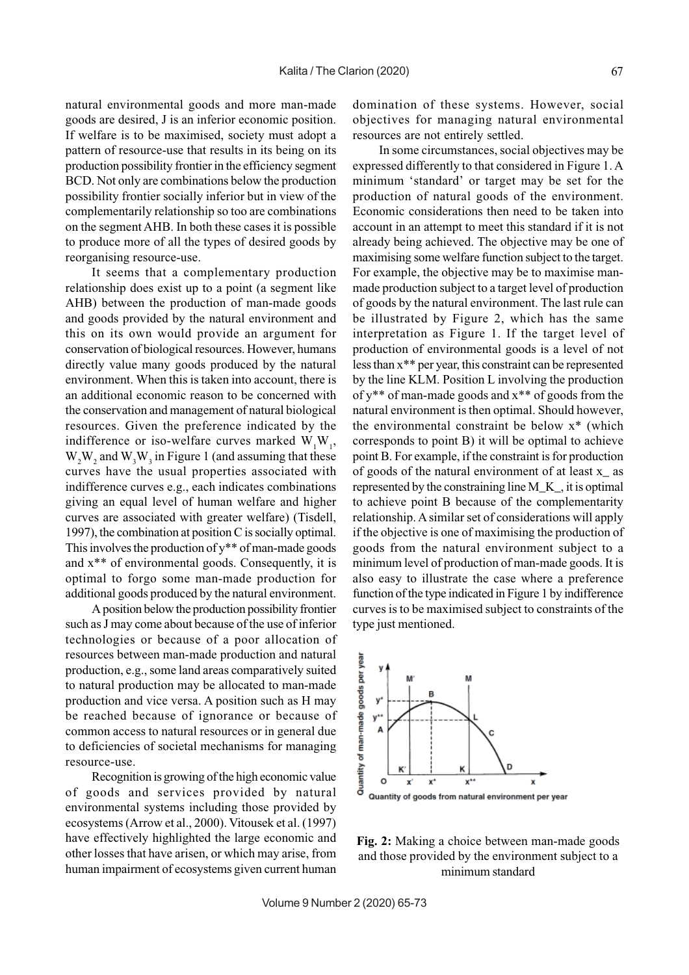natural environmental goods and more man-made goods are desired, J is an inferior economic position. If welfare is to be maximised, society must adopt a pattern of resource-use that results in its being on its production possibility frontier in the efficiency segment BCD. Not only are combinations below the production possibility frontier socially inferior but in view of the complementarily relationship so too are combinations on the segment AHB. In both these cases it is possible to produce more of all the types of desired goods by reorganising resource-use.

It seems that a complementary production relationship does exist up to a point (a segment like AHB) between the production of man-made goods and goods provided by the natural environment and this on its own would provide an argument for conservation of biological resources. However, humans directly value many goods produced by the natural environment. When this is taken into account, there is an additional economic reason to be concerned with the conservation and management of natural biological resources. Given the preference indicated by the indifference or iso-welfare curves marked  $W_1W_1$ ,  $W_2W_2$  and  $W_3W_3$  in Figure 1 (and assuming that these curves have the usual properties associated with indifference curves e.g., each indicates combinations giving an equal level of human welfare and higher curves are associated with greater welfare) (Tisdell, 1997), the combination at position C is socially optimal. This involves the production of  $y^{**}$  of man-made goods and x\*\* of environmental goods. Consequently, it is optimal to forgo some man-made production for additional goods produced by the natural environment.

A position below the production possibility frontier such as J may come about because of the use of inferior technologies or because of a poor allocation of resources between man-made production and natural production, e.g., some land areas comparatively suited to natural production may be allocated to man-made production and vice versa. A position such as H may be reached because of ignorance or because of common access to natural resources or in general due to deficiencies of societal mechanisms for managing resource-use.

Recognition is growing of the high economic value of goods and services provided by natural environmental systems including those provided by ecosystems (Arrow et al., 2000). Vitousek et al. (1997) have effectively highlighted the large economic and other losses that have arisen, or which may arise, from human impairment of ecosystems given current human domination of these systems. However, social objectives for managing natural environmental resources are not entirely settled.

In some circumstances, social objectives may be expressed differently to that considered in Figure 1. A minimum 'standard' or target may be set for the production of natural goods of the environment. Economic considerations then need to be taken into account in an attempt to meet this standard if it is not already being achieved. The objective may be one of maximising some welfare function subject to the target. For example, the objective may be to maximise manmade production subject to a target level of production of goods by the natural environment. The last rule can be illustrated by Figure 2, which has the same interpretation as Figure 1. If the target level of production of environmental goods is a level of not less than x\*\* per year, this constraint can be represented by the line KLM. Position L involving the production of y\*\* of man-made goods and x\*\* of goods from the natural environment is then optimal. Should however, the environmental constraint be below x\* (which corresponds to point B) it will be optimal to achieve point B. For example, if the constraint is for production of goods of the natural environment of at least x\_ as represented by the constraining line M<sub>K</sub>, it is optimal to achieve point B because of the complementarity relationship. A similar set of considerations will apply if the objective is one of maximising the production of goods from the natural environment subject to a minimum level of production of man-made goods. It is also easy to illustrate the case where a preference function of the type indicated in Figure 1 by indifference curves is to be maximised subject to constraints of the type just mentioned.



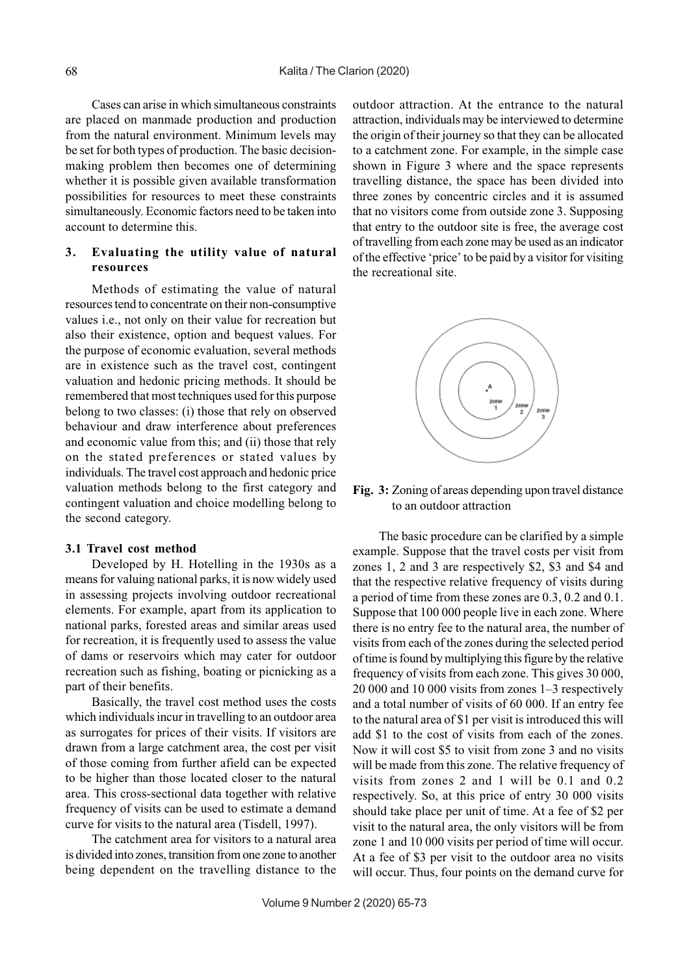Cases can arise in which simultaneous constraints are placed on manmade production and production from the natural environment. Minimum levels may be set for both types of production. The basic decisionmaking problem then becomes one of determining whether it is possible given available transformation possibilities for resources to meet these constraints simultaneously. Economic factors need to be taken into account to determine this.

#### **3. Evaluating the utility value of natural resources**

Methods of estimating the value of natural resources tend to concentrate on their non-consumptive values i.e., not only on their value for recreation but also their existence, option and bequest values. For the purpose of economic evaluation, several methods are in existence such as the travel cost, contingent valuation and hedonic pricing methods. It should be remembered that most techniques used for this purpose belong to two classes: (i) those that rely on observed behaviour and draw interference about preferences and economic value from this; and (ii) those that rely on the stated preferences or stated values by individuals. The travel cost approach and hedonic price valuation methods belong to the first category and contingent valuation and choice modelling belong to the second category.

#### **3.1 Travel cost method**

Developed by H. Hotelling in the 1930s as a means for valuing national parks, it is now widely used in assessing projects involving outdoor recreational elements. For example, apart from its application to national parks, forested areas and similar areas used for recreation, it is frequently used to assess the value of dams or reservoirs which may cater for outdoor recreation such as fishing, boating or picnicking as a part of their benefits.

Basically, the travel cost method uses the costs which individuals incur in travelling to an outdoor area as surrogates for prices of their visits. If visitors are drawn from a large catchment area, the cost per visit of those coming from further afield can be expected to be higher than those located closer to the natural area. This cross-sectional data together with relative frequency of visits can be used to estimate a demand curve for visits to the natural area (Tisdell, 1997).

The catchment area for visitors to a natural area is divided into zones, transition from one zone to another being dependent on the travelling distance to the outdoor attraction. At the entrance to the natural attraction, individuals may be interviewed to determine the origin of their journey so that they can be allocated to a catchment zone. For example, in the simple case shown in Figure 3 where and the space represents travelling distance, the space has been divided into three zones by concentric circles and it is assumed that no visitors come from outside zone 3. Supposing that entry to the outdoor site is free, the average cost of travelling from each zone may be used as an indicator of the effective 'price' to be paid by a visitor for visiting the recreational site.



**Fig. 3:** Zoning of areas depending upon travel distance to an outdoor attraction

The basic procedure can be clarified by a simple example. Suppose that the travel costs per visit from zones 1, 2 and 3 are respectively \$2, \$3 and \$4 and that the respective relative frequency of visits during a period of time from these zones are 0.3, 0.2 and 0.1. Suppose that 100 000 people live in each zone. Where there is no entry fee to the natural area, the number of visits from each of the zones during the selected period of time is found by multiplying this figure by the relative frequency of visits from each zone. This gives 30 000, 20 000 and 10 000 visits from zones 1–3 respectively and a total number of visits of 60 000. If an entry fee to the natural area of \$1 per visit is introduced this will add \$1 to the cost of visits from each of the zones. Now it will cost \$5 to visit from zone 3 and no visits will be made from this zone. The relative frequency of visits from zones 2 and 1 will be 0.1 and 0.2 respectively. So, at this price of entry 30 000 visits should take place per unit of time. At a fee of \$2 per visit to the natural area, the only visitors will be from zone 1 and 10 000 visits per period of time will occur. At a fee of \$3 per visit to the outdoor area no visits will occur. Thus, four points on the demand curve for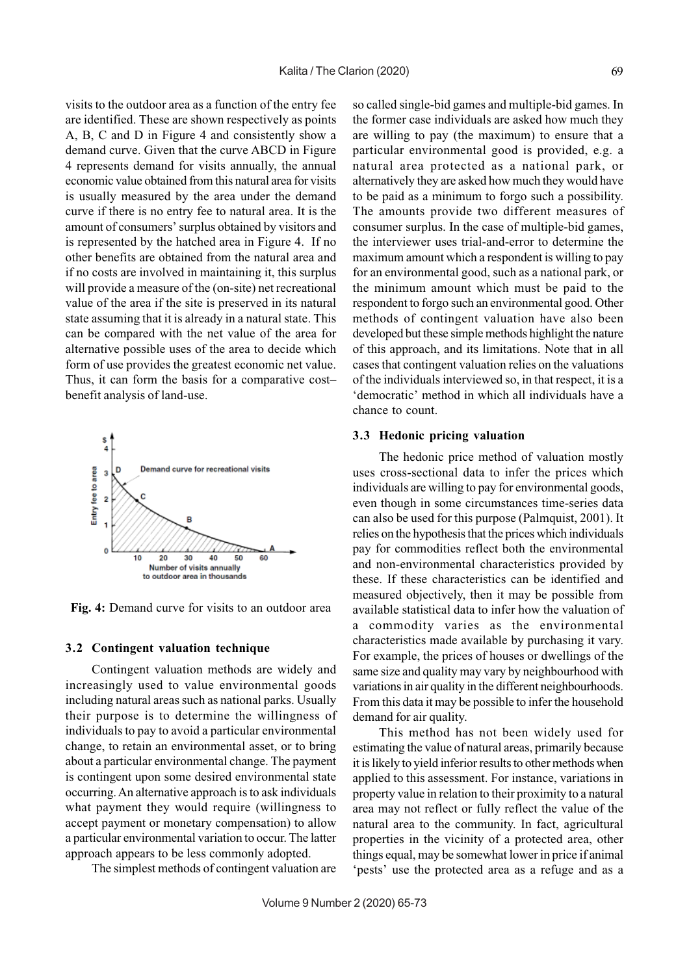visits to the outdoor area as a function of the entry fee are identified. These are shown respectively as points A, B, C and D in Figure 4 and consistently show a demand curve. Given that the curve ABCD in Figure 4 represents demand for visits annually, the annual economic value obtained from this natural area for visits is usually measured by the area under the demand curve if there is no entry fee to natural area. It is the amount of consumers' surplus obtained by visitors and is represented by the hatched area in Figure 4. If no other benefits are obtained from the natural area and if no costs are involved in maintaining it, this surplus will provide a measure of the (on-site) net recreational value of the area if the site is preserved in its natural state assuming that it is already in a natural state. This can be compared with the net value of the area for alternative possible uses of the area to decide which form of use provides the greatest economic net value. Thus, it can form the basis for a comparative cost– benefit analysis of land-use.



**Fig. 4:** Demand curve for visits to an outdoor area

#### **3.2 Contingent valuation technique**

Contingent valuation methods are widely and increasingly used to value environmental goods including natural areas such as national parks. Usually their purpose is to determine the willingness of individuals to pay to avoid a particular environmental change, to retain an environmental asset, or to bring about a particular environmental change. The payment is contingent upon some desired environmental state occurring. An alternative approach is to ask individuals what payment they would require (willingness to accept payment or monetary compensation) to allow a particular environmental variation to occur. The latter approach appears to be less commonly adopted.

The simplest methods of contingent valuation are

so called single-bid games and multiple-bid games. In the former case individuals are asked how much they are willing to pay (the maximum) to ensure that a particular environmental good is provided, e.g. a natural area protected as a national park, or alternatively they are asked how much they would have to be paid as a minimum to forgo such a possibility. The amounts provide two different measures of consumer surplus. In the case of multiple-bid games, the interviewer uses trial-and-error to determine the maximum amount which a respondent is willing to pay for an environmental good, such as a national park, or the minimum amount which must be paid to the respondent to forgo such an environmental good. Other methods of contingent valuation have also been developed but these simple methods highlight the nature of this approach, and its limitations. Note that in all cases that contingent valuation relies on the valuations of the individuals interviewed so, in that respect, it is a 'democratic' method in which all individuals have a chance to count.

#### **3.3 Hedonic pricing valuation**

The hedonic price method of valuation mostly uses cross-sectional data to infer the prices which individuals are willing to pay for environmental goods, even though in some circumstances time-series data can also be used for this purpose (Palmquist, 2001). It relies on the hypothesis that the prices which individuals pay for commodities reflect both the environmental and non-environmental characteristics provided by these. If these characteristics can be identified and measured objectively, then it may be possible from available statistical data to infer how the valuation of a commodity varies as the environmental characteristics made available by purchasing it vary. For example, the prices of houses or dwellings of the same size and quality may vary by neighbourhood with variations in air quality in the different neighbourhoods. From this data it may be possible to infer the household demand for air quality.

This method has not been widely used for estimating the value of natural areas, primarily because it is likely to yield inferior results to other methods when applied to this assessment. For instance, variations in property value in relation to their proximity to a natural area may not reflect or fully reflect the value of the natural area to the community. In fact, agricultural properties in the vicinity of a protected area, other things equal, may be somewhat lower in price if animal 'pests' use the protected area as a refuge and as a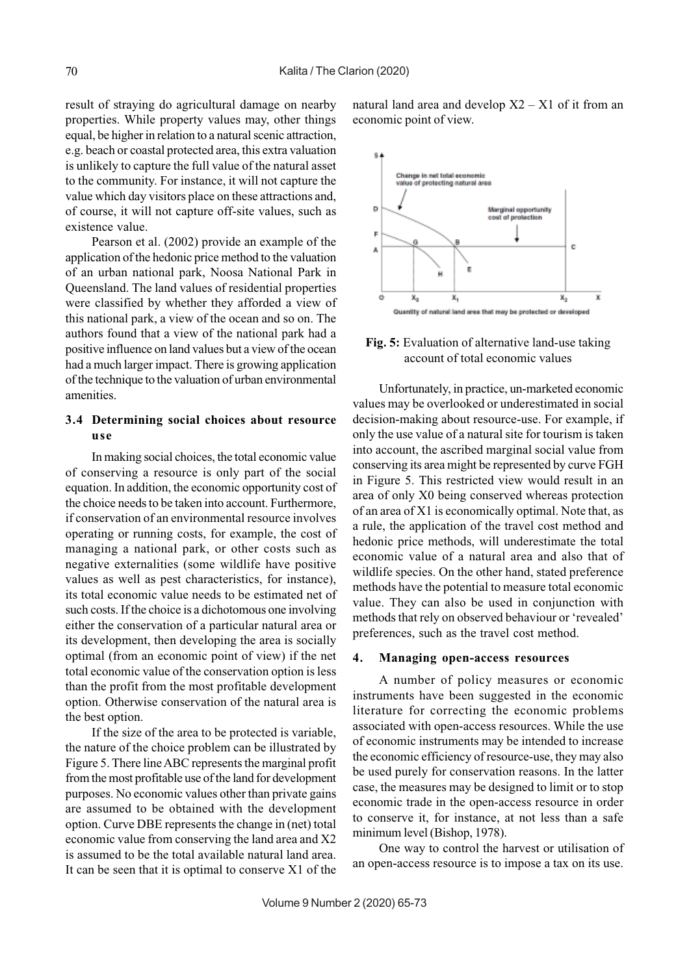result of straying do agricultural damage on nearby properties. While property values may, other things equal, be higher in relation to a natural scenic attraction, e.g. beach or coastal protected area, this extra valuation is unlikely to capture the full value of the natural asset to the community. For instance, it will not capture the value which day visitors place on these attractions and, of course, it will not capture off-site values, such as existence value.

Pearson et al. (2002) provide an example of the application of the hedonic price method to the valuation of an urban national park, Noosa National Park in Queensland. The land values of residential properties were classified by whether they afforded a view of this national park, a view of the ocean and so on. The authors found that a view of the national park had a positive influence on land values but a view of the ocean had a much larger impact. There is growing application of the technique to the valuation of urban environmental amenities.

#### **3.4 Determining social choices about resource use**

In making social choices, the total economic value of conserving a resource is only part of the social equation. In addition, the economic opportunity cost of the choice needs to be taken into account. Furthermore, if conservation of an environmental resource involves operating or running costs, for example, the cost of managing a national park, or other costs such as negative externalities (some wildlife have positive values as well as pest characteristics, for instance), its total economic value needs to be estimated net of such costs. If the choice is a dichotomous one involving either the conservation of a particular natural area or its development, then developing the area is socially optimal (from an economic point of view) if the net total economic value of the conservation option is less than the profit from the most profitable development option. Otherwise conservation of the natural area is the best option.

If the size of the area to be protected is variable, the nature of the choice problem can be illustrated by Figure 5. There line ABC represents the marginal profit from the most profitable use of the land for development purposes. No economic values other than private gains are assumed to be obtained with the development option. Curve DBE represents the change in (net) total economic value from conserving the land area and X2 is assumed to be the total available natural land area. It can be seen that it is optimal to conserve X1 of the natural land area and develop  $X2 - X1$  of it from an economic point of view.



**Fig. 5:** Evaluation of alternative land-use taking account of total economic values

Unfortunately, in practice, un-marketed economic values may be overlooked or underestimated in social decision-making about resource-use. For example, if only the use value of a natural site for tourism is taken into account, the ascribed marginal social value from conserving its area might be represented by curve FGH in Figure 5. This restricted view would result in an area of only X0 being conserved whereas protection of an area of X1 is economically optimal. Note that, as a rule, the application of the travel cost method and hedonic price methods, will underestimate the total economic value of a natural area and also that of wildlife species. On the other hand, stated preference methods have the potential to measure total economic value. They can also be used in conjunction with methods that rely on observed behaviour or 'revealed' preferences, such as the travel cost method.

#### **4. Managing open-access resources**

A number of policy measures or economic instruments have been suggested in the economic literature for correcting the economic problems associated with open-access resources. While the use of economic instruments may be intended to increase the economic efficiency of resource-use, they may also be used purely for conservation reasons. In the latter case, the measures may be designed to limit or to stop economic trade in the open-access resource in order to conserve it, for instance, at not less than a safe minimum level (Bishop, 1978).

One way to control the harvest or utilisation of an open-access resource is to impose a tax on its use.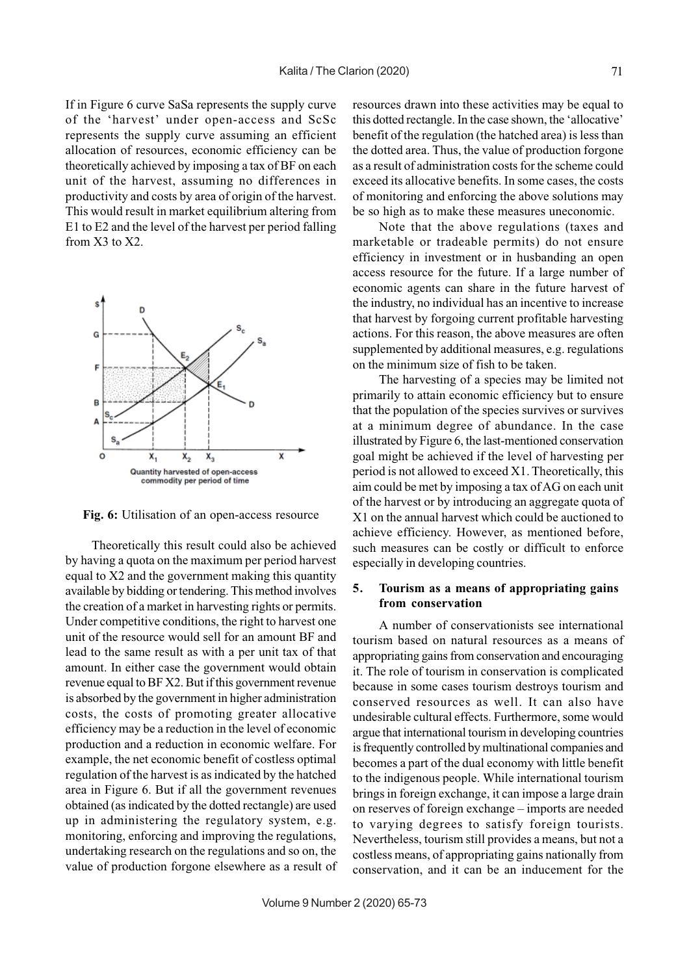If in Figure 6 curve SaSa represents the supply curve of the 'harvest' under open-access and ScSc represents the supply curve assuming an efficient allocation of resources, economic efficiency can be theoretically achieved by imposing a tax of BF on each unit of the harvest, assuming no differences in productivity and costs by area of origin of the harvest. This would result in market equilibrium altering from E1 to E2 and the level of the harvest per period falling from X3 to X2.



**Fig. 6:** Utilisation of an open-access resource

Theoretically this result could also be achieved by having a quota on the maximum per period harvest equal to X2 and the government making this quantity available by bidding or tendering. This method involves the creation of a market in harvesting rights or permits. Under competitive conditions, the right to harvest one unit of the resource would sell for an amount BF and lead to the same result as with a per unit tax of that amount. In either case the government would obtain revenue equal to BF X2. But if this government revenue is absorbed by the government in higher administration costs, the costs of promoting greater allocative efficiency may be a reduction in the level of economic production and a reduction in economic welfare. For example, the net economic benefit of costless optimal regulation of the harvest is as indicated by the hatched area in Figure 6. But if all the government revenues obtained (as indicated by the dotted rectangle) are used up in administering the regulatory system, e.g. monitoring, enforcing and improving the regulations, undertaking research on the regulations and so on, the value of production forgone elsewhere as a result of resources drawn into these activities may be equal to this dotted rectangle. In the case shown, the 'allocative' benefit of the regulation (the hatched area) is less than the dotted area. Thus, the value of production forgone as a result of administration costs for the scheme could exceed its allocative benefits. In some cases, the costs of monitoring and enforcing the above solutions may be so high as to make these measures uneconomic.

Note that the above regulations (taxes and marketable or tradeable permits) do not ensure efficiency in investment or in husbanding an open access resource for the future. If a large number of economic agents can share in the future harvest of the industry, no individual has an incentive to increase that harvest by forgoing current profitable harvesting actions. For this reason, the above measures are often supplemented by additional measures, e.g. regulations on the minimum size of fish to be taken.

The harvesting of a species may be limited not primarily to attain economic efficiency but to ensure that the population of the species survives or survives at a minimum degree of abundance. In the case illustrated by Figure 6, the last-mentioned conservation goal might be achieved if the level of harvesting per period is not allowed to exceed X1. Theoretically, this aim could be met by imposing a tax of AG on each unit of the harvest or by introducing an aggregate quota of X1 on the annual harvest which could be auctioned to achieve efficiency. However, as mentioned before, such measures can be costly or difficult to enforce especially in developing countries.

#### **5. Tourism as a means of appropriating gains from conservation**

A number of conservationists see international tourism based on natural resources as a means of appropriating gains from conservation and encouraging it. The role of tourism in conservation is complicated because in some cases tourism destroys tourism and conserved resources as well. It can also have undesirable cultural effects. Furthermore, some would argue that international tourism in developing countries is frequently controlled by multinational companies and becomes a part of the dual economy with little benefit to the indigenous people. While international tourism brings in foreign exchange, it can impose a large drain on reserves of foreign exchange – imports are needed to varying degrees to satisfy foreign tourists. Nevertheless, tourism still provides a means, but not a costless means, of appropriating gains nationally from conservation, and it can be an inducement for the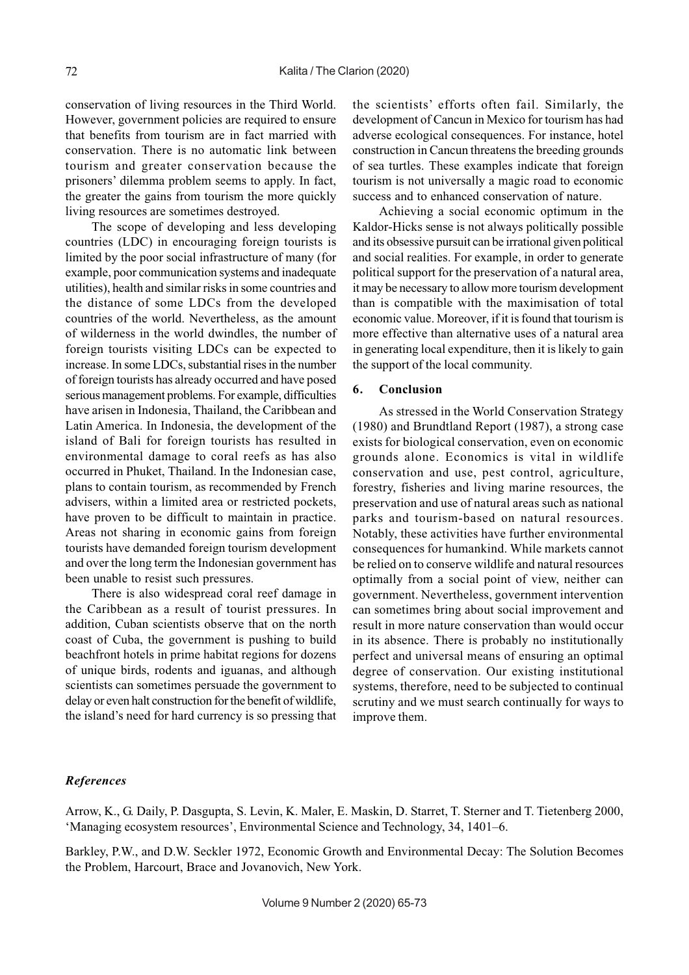conservation of living resources in the Third World. However, government policies are required to ensure that benefits from tourism are in fact married with conservation. There is no automatic link between tourism and greater conservation because the prisoners' dilemma problem seems to apply. In fact, the greater the gains from tourism the more quickly living resources are sometimes destroyed.

The scope of developing and less developing countries (LDC) in encouraging foreign tourists is limited by the poor social infrastructure of many (for example, poor communication systems and inadequate utilities), health and similar risks in some countries and the distance of some LDCs from the developed countries of the world. Nevertheless, as the amount of wilderness in the world dwindles, the number of foreign tourists visiting LDCs can be expected to increase. In some LDCs, substantial rises in the number of foreign tourists has already occurred and have posed serious management problems. For example, difficulties have arisen in Indonesia, Thailand, the Caribbean and Latin America. In Indonesia, the development of the island of Bali for foreign tourists has resulted in environmental damage to coral reefs as has also occurred in Phuket, Thailand. In the Indonesian case, plans to contain tourism, as recommended by French advisers, within a limited area or restricted pockets, have proven to be difficult to maintain in practice. Areas not sharing in economic gains from foreign tourists have demanded foreign tourism development and over the long term the Indonesian government has been unable to resist such pressures.

There is also widespread coral reef damage in the Caribbean as a result of tourist pressures. In addition, Cuban scientists observe that on the north coast of Cuba, the government is pushing to build beachfront hotels in prime habitat regions for dozens of unique birds, rodents and iguanas, and although scientists can sometimes persuade the government to delay or even halt construction for the benefit of wildlife, the island's need for hard currency is so pressing that the scientists' efforts often fail. Similarly, the development of Cancun in Mexico for tourism has had adverse ecological consequences. For instance, hotel construction in Cancun threatens the breeding grounds of sea turtles. These examples indicate that foreign tourism is not universally a magic road to economic success and to enhanced conservation of nature.

Achieving a social economic optimum in the Kaldor-Hicks sense is not always politically possible and its obsessive pursuit can be irrational given political and social realities. For example, in order to generate political support for the preservation of a natural area, it may be necessary to allow more tourism development than is compatible with the maximisation of total economic value. Moreover, if it is found that tourism is more effective than alternative uses of a natural area in generating local expenditure, then it is likely to gain the support of the local community.

#### **6. Conclusion**

As stressed in the World Conservation Strategy (1980) and Brundtland Report (1987), a strong case exists for biological conservation, even on economic grounds alone. Economics is vital in wildlife conservation and use, pest control, agriculture, forestry, fisheries and living marine resources, the preservation and use of natural areas such as national parks and tourism-based on natural resources. Notably, these activities have further environmental consequences for humankind. While markets cannot be relied on to conserve wildlife and natural resources optimally from a social point of view, neither can government. Nevertheless, government intervention can sometimes bring about social improvement and result in more nature conservation than would occur in its absence. There is probably no institutionally perfect and universal means of ensuring an optimal degree of conservation. Our existing institutional systems, therefore, need to be subjected to continual scrutiny and we must search continually for ways to improve them.

#### *References*

Arrow, K., G. Daily, P. Dasgupta, S. Levin, K. Maler, E. Maskin, D. Starret, T. Sterner and T. Tietenberg 2000, 'Managing ecosystem resources', Environmental Science and Technology, 34, 1401–6.

Barkley, P.W., and D.W. Seckler 1972, Economic Growth and Environmental Decay: The Solution Becomes the Problem, Harcourt, Brace and Jovanovich, New York.